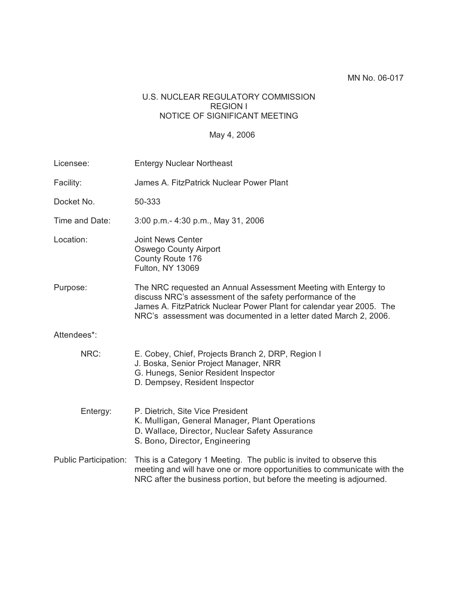### U.S. NUCLEAR REGULATORY COMMISSION REGION I NOTICE OF SIGNIFICANT MEETING

### May 4, 2006

| Licensee:                    | <b>Entergy Nuclear Northeast</b>                                                                                                                                                                                                                                        |  |  |
|------------------------------|-------------------------------------------------------------------------------------------------------------------------------------------------------------------------------------------------------------------------------------------------------------------------|--|--|
| Facility:                    | James A. FitzPatrick Nuclear Power Plant                                                                                                                                                                                                                                |  |  |
| Docket No.                   | 50-333                                                                                                                                                                                                                                                                  |  |  |
| Time and Date:               | 3:00 p.m.- 4:30 p.m., May 31, 2006                                                                                                                                                                                                                                      |  |  |
| Location:                    | <b>Joint News Center</b><br><b>Oswego County Airport</b><br>County Route 176<br>Fulton, NY 13069                                                                                                                                                                        |  |  |
| Purpose:                     | The NRC requested an Annual Assessment Meeting with Entergy to<br>discuss NRC's assessment of the safety performance of the<br>James A. FitzPatrick Nuclear Power Plant for calendar year 2005. The<br>NRC's assessment was documented in a letter dated March 2, 2006. |  |  |
| Attendees*:                  |                                                                                                                                                                                                                                                                         |  |  |
| NRC:                         | E. Cobey, Chief, Projects Branch 2, DRP, Region I<br>J. Boska, Senior Project Manager, NRR<br>G. Hunegs, Senior Resident Inspector<br>D. Dempsey, Resident Inspector                                                                                                    |  |  |
| Entergy:                     | P. Dietrich, Site Vice President<br>K. Mulligan, General Manager, Plant Operations<br>D. Wallace, Director, Nuclear Safety Assurance<br>S. Bono, Director, Engineering                                                                                                  |  |  |
| <b>Public Participation:</b> | This is a Category 1 Meeting. The public is invited to observe this<br>meeting and will have one or more opportunities to communicate with the<br>NRC after the business portion, but before the meeting is adjourned.                                                  |  |  |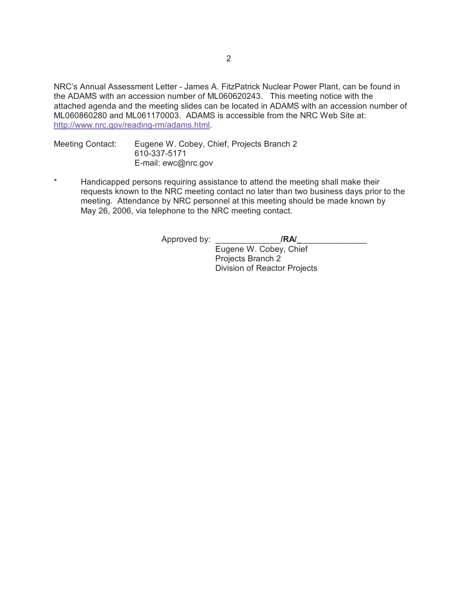NRC's Annual Assessment Letter - James A. FitzPatrick Nuclear Power Plant, can be found in the ADAMS with an accession number of ML060620243. This meeting notice with the attached agenda and the meeting slides can be located in ADAMS with an accession number of ML060860280 and ML061170003. ADAMS is accessible from the NRC Web Site at: http://www.nrc.gov/reading-rm/adams.html.

Meeting Contact: Eugene W. Cobey, Chief, Projects Branch 2 610-337-5171 E-mail: ewc@nrc.gov

\* Handicapped persons requiring assistance to attend the meeting shall make their requests known to the NRC meeting contact no later than two business days prior to the meeting. Attendance by NRC personnel at this meeting should be made known by May 26, 2006, via telephone to the NRC meeting contact.

Approved by: **All Allen /RA/** 

Eugene W. Cobey, Chief Projects Branch 2 Division of Reactor Projects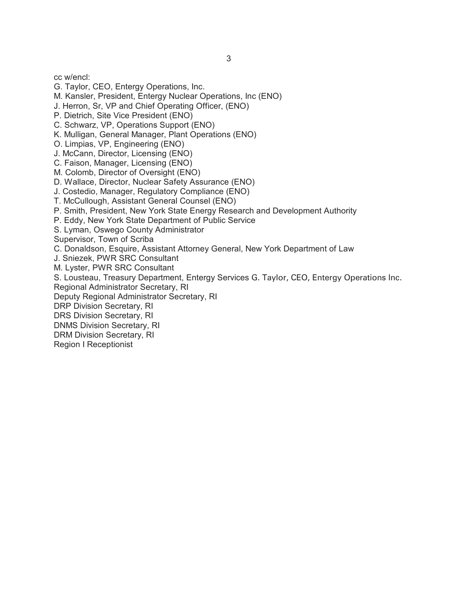cc w/encl:

- G. Taylor, CEO, Entergy Operations, Inc.
- M. Kansler, President, Entergy Nuclear Operations, Inc (ENO)
- J. Herron, Sr, VP and Chief Operating Officer, (ENO)
- P. Dietrich, Site Vice President (ENO)
- C. Schwarz, VP, Operations Support (ENO)
- K. Mulligan, General Manager, Plant Operations (ENO)
- O. Limpias, VP, Engineering (ENO)
- J. McCann, Director, Licensing (ENO)
- C. Faison, Manager, Licensing (ENO)
- M. Colomb, Director of Oversight (ENO)
- D. Wallace, Director, Nuclear Safety Assurance (ENO)
- J. Costedio, Manager, Regulatory Compliance (ENO)
- T. McCullough, Assistant General Counsel (ENO)
- P. Smith, President, New York State Energy Research and Development Authority
- P. Eddy, New York State Department of Public Service
- S. Lyman, Oswego County Administrator
- Supervisor, Town of Scriba
- C. Donaldson, Esquire, Assistant Attorney General, New York Department of Law
- J. Sniezek, PWR SRC Consultant
- M. Lyster, PWR SRC Consultant
- S. Lousteau, Treasury Department, Entergy Services G. Taylor, CEO, Entergy Operations Inc.
- Regional Administrator Secretary, RI
- Deputy Regional Administrator Secretary, RI
- DRP Division Secretary, RI
- DRS Division Secretary, RI
- DNMS Division Secretary, RI
- DRM Division Secretary, RI
- Region I Receptionist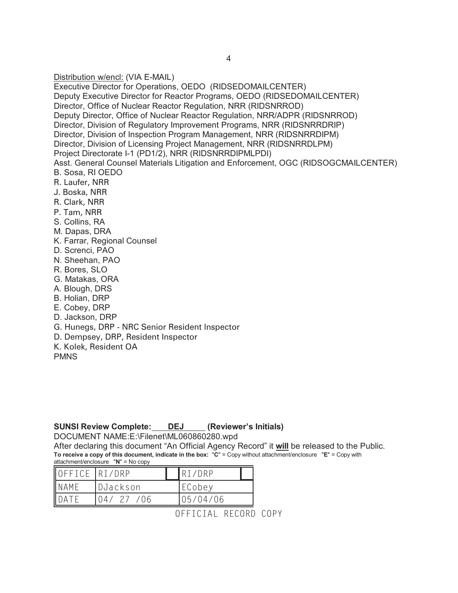Distribution w/encl: (VIA E-MAIL) Executive Director for Operations, OEDO (RIDSEDOMAILCENTER) Deputy Executive Director for Reactor Programs, OEDO (RIDSEDOMAILCENTER) Director, Office of Nuclear Reactor Regulation, NRR (RIDSNRROD) Deputy Director, Office of Nuclear Reactor Regulation, NRR/ADPR (RIDSNRROD) Director, Division of Regulatory Improvement Programs, NRR (RIDSNRRDRIP) Director, Division of Inspection Program Management, NRR (RIDSNRRDIPM) Director, Division of Licensing Project Management, NRR (RIDSNRRDLPM) Project Directorate I-1 (PD1/2), NRR (RIDSNRRDIPMLPDI) Asst. General Counsel Materials Litigation and Enforcement, OGC (RIDSOGCMAILCENTER) B. Sosa, RI OEDO R. Laufer, NRR J. Boska, NRR R. Clark, NRR P. Tam, NRR S. Collins, RA M. Dapas, DRA K. Farrar, Regional Counsel D. Screnci, PAO N. Sheehan, PAO R. Bores, SLO G. Matakas, ORA A. Blough, DRS B. Holian, DRP E. Cobey, DRP D. Jackson, DRP G. Hunegs, DRP - NRC Senior Resident Inspector D. Dempsey, DRP, Resident Inspector K. Kolek, Resident OA

**PMNS** 

#### **SUNSI Review Complete: DEJ (Reviewer's Initials)**

DOCUMENT NAME:E:\Filenet\ML060860280.wpd

After declaring this document "An Official Agency Record" it **will** be released to the Public. **To receive a copy of this document, indicate in the box:** "**C**" = Copy without attachment/enclosure "**E**" = Copy with attachment/enclosure "**N**" = No copy

| OFFICE RI/DRP |            | RT/DRP   |  |
|---------------|------------|----------|--|
| NAME          | DJackson   | ECobey   |  |
| ۱Δ            | $/ \Omega$ | 05/04/06 |  |

OFFICIAL RECORD COPY